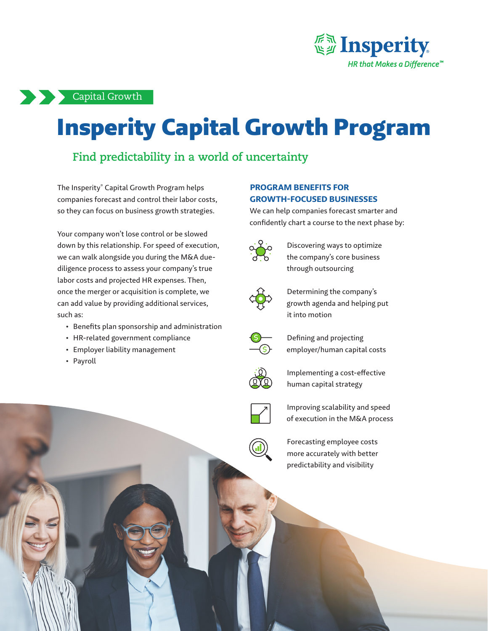

### Capital Growth

# Insperity Capital Growth Program

## **Find predictability in a world of uncertainty**

The Insperity® Capital Growth Program helps companies forecast and control their labor costs, so they can focus on business growth strategies.

Your company won't lose control or be slowed down by this relationship. For speed of execution, we can walk alongside you during the M&A duediligence process to assess your company's true labor costs and projected HR expenses. Then, once the merger or acquisition is complete, we can add value by providing additional services, such as:

- Benefits plan sponsorship and administration
- HR-related government compliance
- Employer liability management
- Payroll

#### **PROGRAM BENEFITS FOR GROWTH-FOCUSED BUSINESSES**

We can help companies forecast smarter and confidently chart a course to the next phase by:



Discovering ways to optimize the company's core business through outsourcing



Determining the company's growth agenda and helping put it into motion



Defining and projecting employer/human capital costs



Implementing a cost-effective human capital strategy



Improving scalability and speed of execution in the M&A process

Forecasting employee costs more accurately with better predictability and visibility